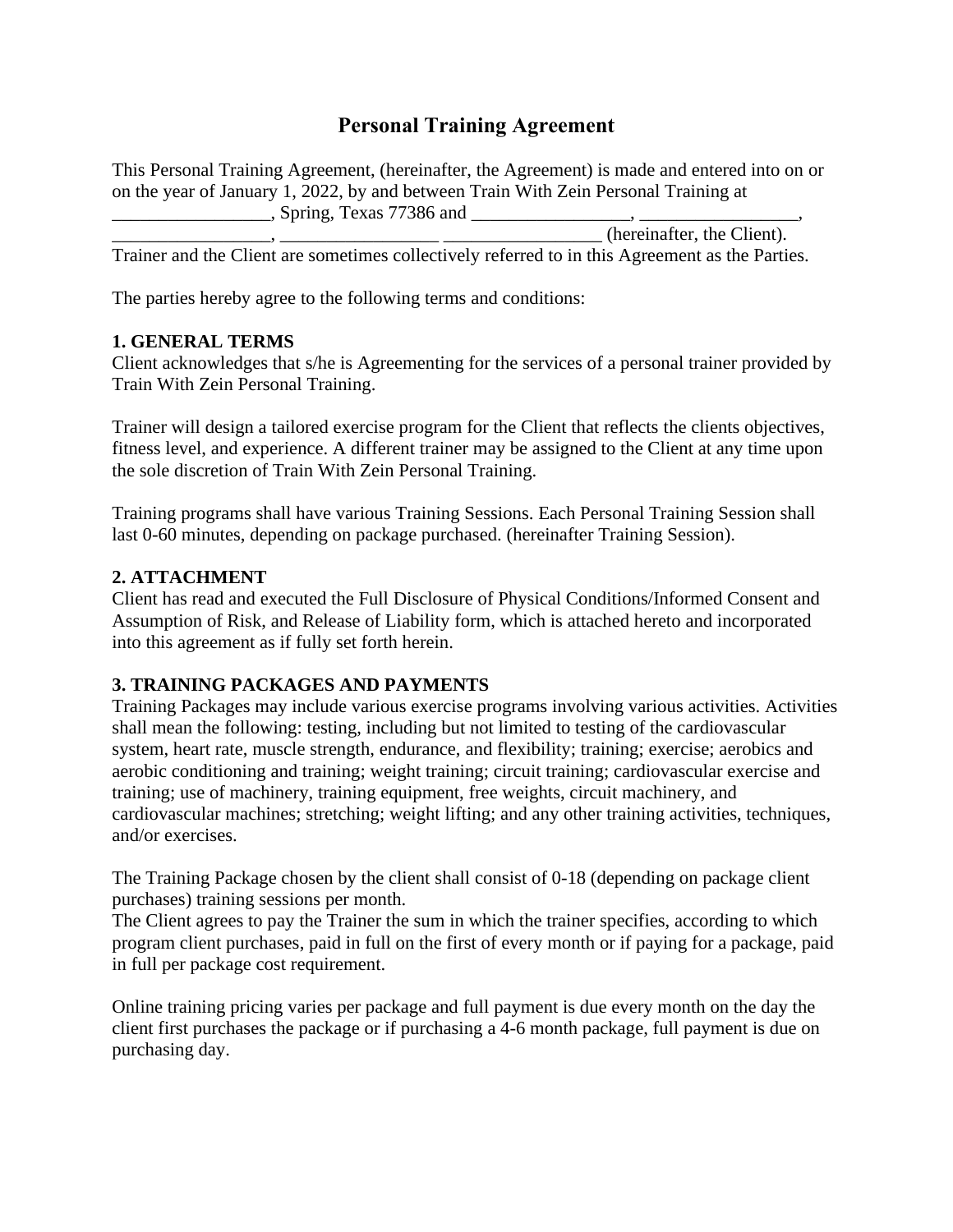# **Personal Training Agreement**

This Personal Training Agreement, (hereinafter, the Agreement) is made and entered into on or on the year of January 1, 2022, by and between Train With Zein Personal Training at \_\_\_\_\_\_\_\_\_\_\_\_\_\_\_\_\_, Spring, Texas 77386 and \_\_\_\_\_\_\_\_\_\_\_\_\_\_\_\_\_, \_\_\_\_\_\_\_\_\_\_\_\_\_\_\_\_\_,

(hereinafter, the Client). Trainer and the Client are sometimes collectively referred to in this Agreement as the Parties.

The parties hereby agree to the following terms and conditions:

#### **1. GENERAL TERMS**

Client acknowledges that s/he is Agreementing for the services of a personal trainer provided by Train With Zein Personal Training.

Trainer will design a tailored exercise program for the Client that reflects the clients objectives, fitness level, and experience. A different trainer may be assigned to the Client at any time upon the sole discretion of Train With Zein Personal Training.

Training programs shall have various Training Sessions. Each Personal Training Session shall last 0-60 minutes, depending on package purchased. (hereinafter Training Session).

#### **2. ATTACHMENT**

Client has read and executed the Full Disclosure of Physical Conditions/Informed Consent and Assumption of Risk, and Release of Liability form, which is attached hereto and incorporated into this agreement as if fully set forth herein.

# **3. TRAINING PACKAGES AND PAYMENTS**

Training Packages may include various exercise programs involving various activities. Activities shall mean the following: testing, including but not limited to testing of the cardiovascular system, heart rate, muscle strength, endurance, and flexibility; training; exercise; aerobics and aerobic conditioning and training; weight training; circuit training; cardiovascular exercise and training; use of machinery, training equipment, free weights, circuit machinery, and cardiovascular machines; stretching; weight lifting; and any other training activities, techniques, and/or exercises.

The Training Package chosen by the client shall consist of 0-18 (depending on package client purchases) training sessions per month.

The Client agrees to pay the Trainer the sum in which the trainer specifies, according to which program client purchases, paid in full on the first of every month or if paying for a package, paid in full per package cost requirement.

Online training pricing varies per package and full payment is due every month on the day the client first purchases the package or if purchasing a 4-6 month package, full payment is due on purchasing day.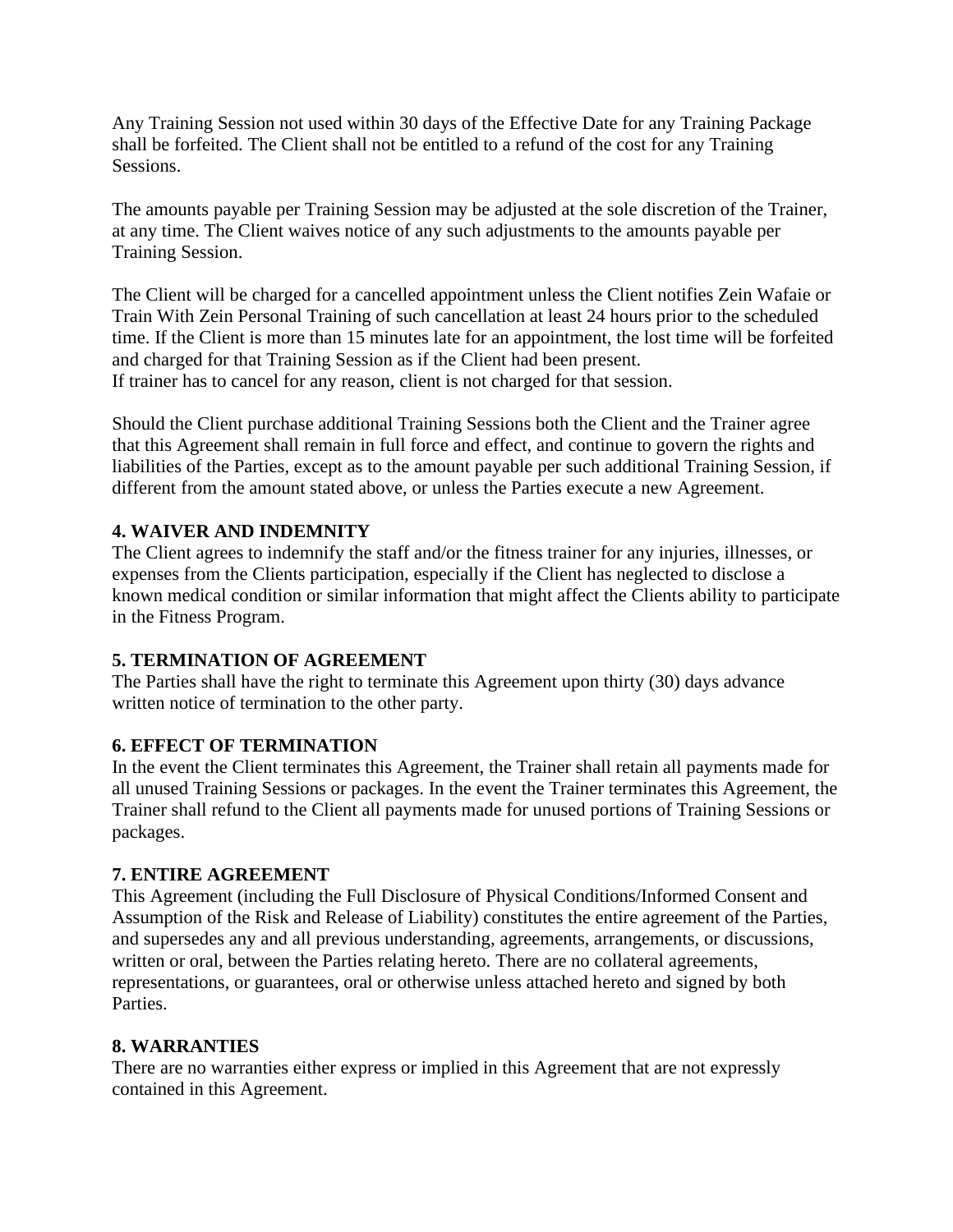Any Training Session not used within 30 days of the Effective Date for any Training Package shall be forfeited. The Client shall not be entitled to a refund of the cost for any Training Sessions.

The amounts payable per Training Session may be adjusted at the sole discretion of the Trainer, at any time. The Client waives notice of any such adjustments to the amounts payable per Training Session.

The Client will be charged for a cancelled appointment unless the Client notifies Zein Wafaie or Train With Zein Personal Training of such cancellation at least 24 hours prior to the scheduled time. If the Client is more than 15 minutes late for an appointment, the lost time will be forfeited and charged for that Training Session as if the Client had been present. If trainer has to cancel for any reason, client is not charged for that session.

Should the Client purchase additional Training Sessions both the Client and the Trainer agree that this Agreement shall remain in full force and effect, and continue to govern the rights and liabilities of the Parties, except as to the amount payable per such additional Training Session, if different from the amount stated above, or unless the Parties execute a new Agreement.

# **4. WAIVER AND INDEMNITY**

The Client agrees to indemnify the staff and/or the fitness trainer for any injuries, illnesses, or expenses from the Clients participation, especially if the Client has neglected to disclose a known medical condition or similar information that might affect the Clients ability to participate in the Fitness Program.

# **5. TERMINATION OF AGREEMENT**

The Parties shall have the right to terminate this Agreement upon thirty (30) days advance written notice of termination to the other party.

# **6. EFFECT OF TERMINATION**

In the event the Client terminates this Agreement, the Trainer shall retain all payments made for all unused Training Sessions or packages. In the event the Trainer terminates this Agreement, the Trainer shall refund to the Client all payments made for unused portions of Training Sessions or packages.

# **7. ENTIRE AGREEMENT**

This Agreement (including the Full Disclosure of Physical Conditions/Informed Consent and Assumption of the Risk and Release of Liability) constitutes the entire agreement of the Parties, and supersedes any and all previous understanding, agreements, arrangements, or discussions, written or oral, between the Parties relating hereto. There are no collateral agreements, representations, or guarantees, oral or otherwise unless attached hereto and signed by both Parties.

# **8. WARRANTIES**

There are no warranties either express or implied in this Agreement that are not expressly contained in this Agreement.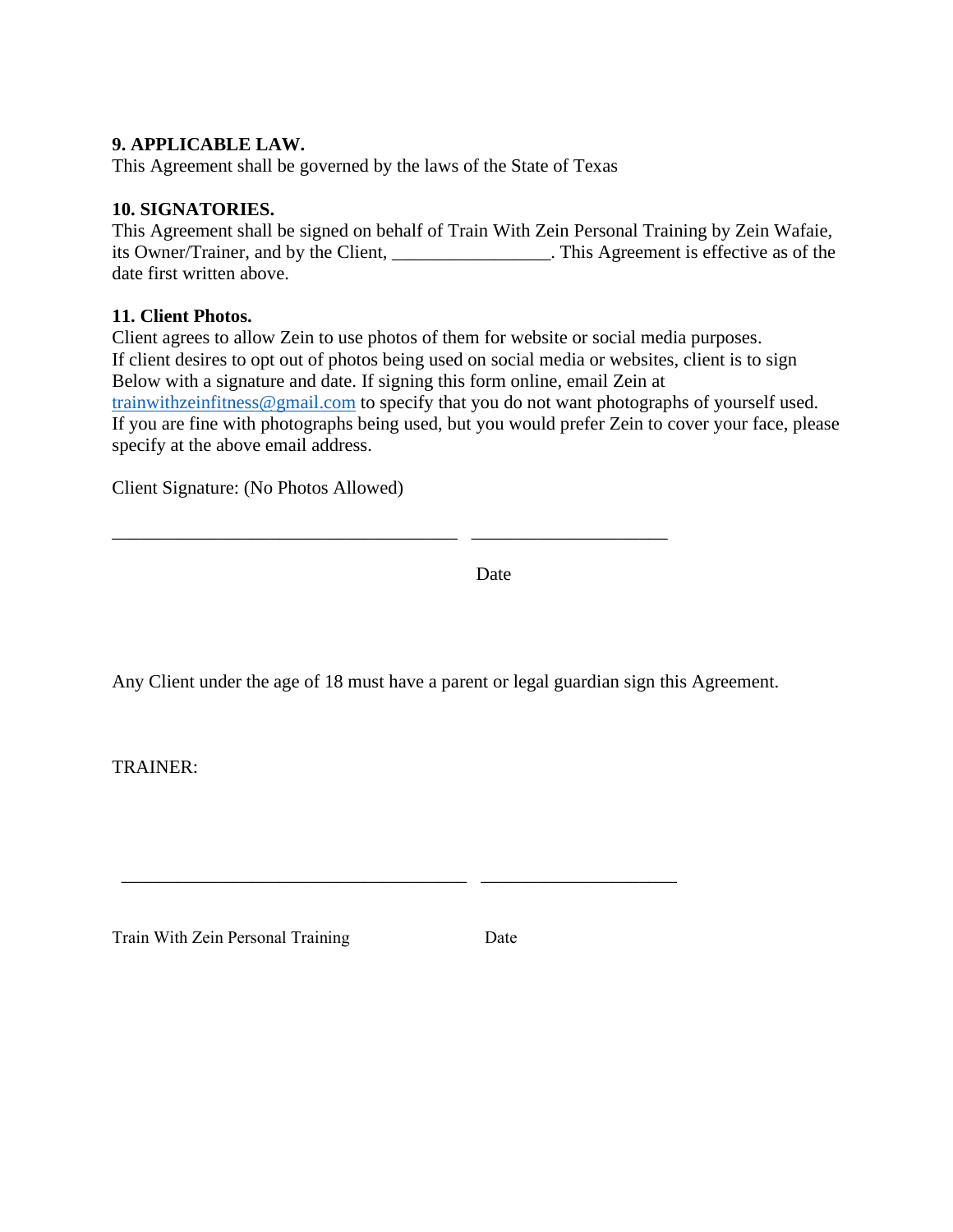# **9. APPLICABLE LAW.**

This Agreement shall be governed by the laws of the State of Texas

#### **10. SIGNATORIES.**

This Agreement shall be signed on behalf of Train With Zein Personal Training by Zein Wafaie, its Owner/Trainer, and by the Client, \_\_\_\_\_\_\_\_\_\_\_\_\_\_\_. This Agreement is effective as of the date first written above.

#### **11. Client Photos.**

Client agrees to allow Zein to use photos of them for website or social media purposes. If client desires to opt out of photos being used on social media or websites, client is to sign Below with a signature and date. If signing this form online, email Zein at [trainwithzeinfitness@gmail.com](mailto:trainwithzeinfitness@gmail.com) to specify that you do not want photographs of yourself used. If you are fine with photographs being used, but you would prefer Zein to cover your face, please specify at the above email address.

Client Signature: (No Photos Allowed)

**Date** Date

Any Client under the age of 18 must have a parent or legal guardian sign this Agreement.

\_\_\_\_\_\_\_\_\_\_\_\_\_\_\_\_\_\_\_\_\_\_\_\_\_\_\_\_\_\_\_\_\_\_\_\_\_ \_\_\_\_\_\_\_\_\_\_\_\_\_\_\_\_\_\_\_\_\_

\_\_\_\_\_\_\_\_\_\_\_\_\_\_\_\_\_\_\_\_\_\_\_\_\_\_\_\_\_\_\_\_\_\_\_\_\_ \_\_\_\_\_\_\_\_\_\_\_\_\_\_\_\_\_\_\_\_\_

TRAINER:

Train With Zein Personal Training Date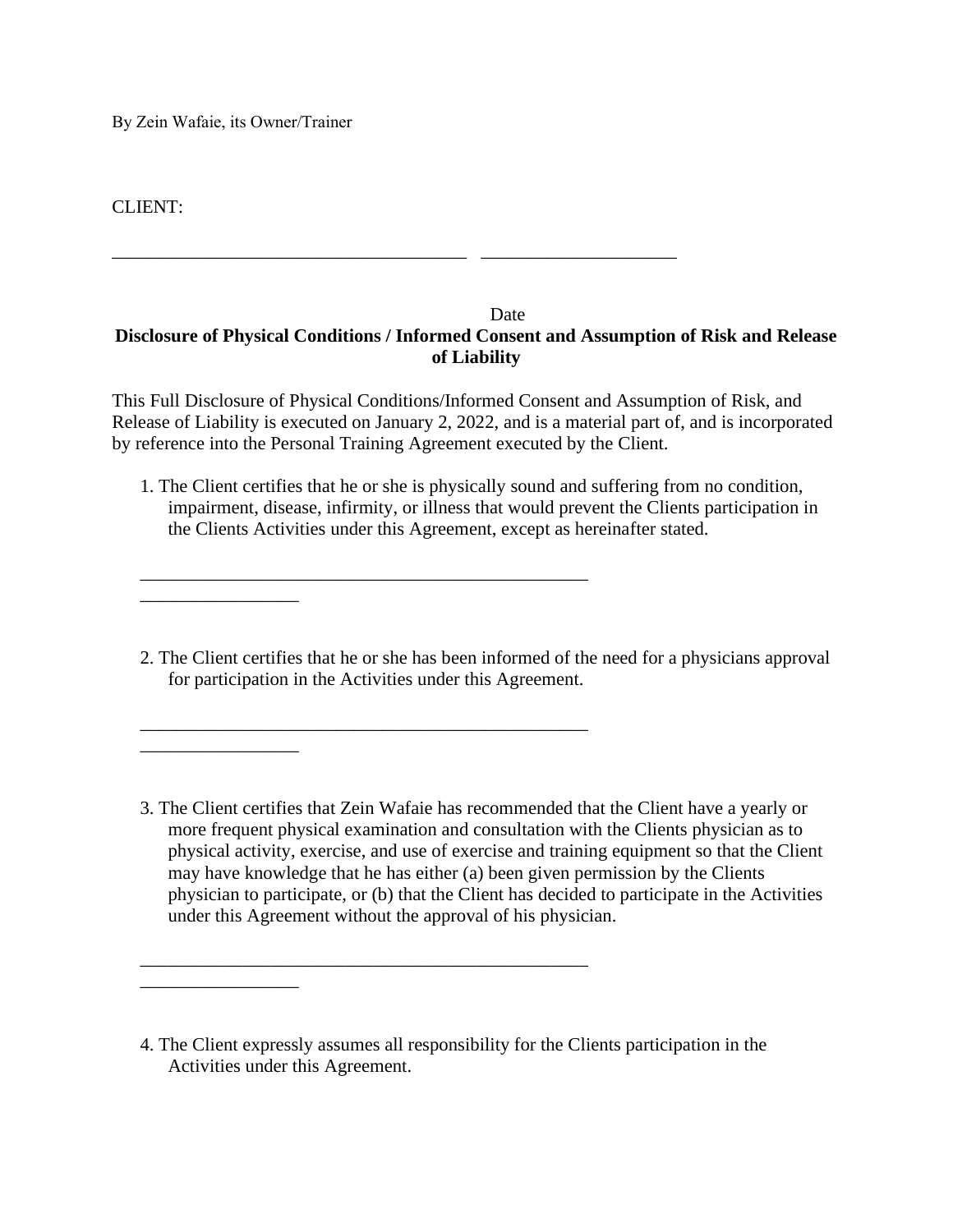By Zein Wafaie, its Owner/Trainer

\_\_\_\_\_\_\_\_\_\_\_\_\_\_\_\_\_

\_\_\_\_\_\_\_\_\_\_\_\_\_\_\_\_\_

\_\_\_\_\_\_\_\_\_\_\_\_\_\_\_\_\_

CLIENT:

#### **Date Disclosure of Physical Conditions / Informed Consent and Assumption of Risk and Release of Liability**

\_\_\_\_\_\_\_\_\_\_\_\_\_\_\_\_\_\_\_\_\_\_\_\_\_\_\_\_\_\_\_\_\_\_\_\_\_\_ \_\_\_\_\_\_\_\_\_\_\_\_\_\_\_\_\_\_\_\_\_

\_\_\_\_\_\_\_\_\_\_\_\_\_\_\_\_\_\_\_\_\_\_\_\_\_\_\_\_\_\_\_\_\_\_\_\_\_\_\_\_\_\_\_\_\_\_\_\_

\_\_\_\_\_\_\_\_\_\_\_\_\_\_\_\_\_\_\_\_\_\_\_\_\_\_\_\_\_\_\_\_\_\_\_\_\_\_\_\_\_\_\_\_\_\_\_\_

\_\_\_\_\_\_\_\_\_\_\_\_\_\_\_\_\_\_\_\_\_\_\_\_\_\_\_\_\_\_\_\_\_\_\_\_\_\_\_\_\_\_\_\_\_\_\_\_

This Full Disclosure of Physical Conditions/Informed Consent and Assumption of Risk, and Release of Liability is executed on January 2, 2022, and is a material part of, and is incorporated by reference into the Personal Training Agreement executed by the Client.

1. The Client certifies that he or she is physically sound and suffering from no condition, impairment, disease, infirmity, or illness that would prevent the Clients participation in the Clients Activities under this Agreement, except as hereinafter stated.

2. The Client certifies that he or she has been informed of the need for a physicians approval for participation in the Activities under this Agreement.

<sup>3.</sup> The Client certifies that Zein Wafaie has recommended that the Client have a yearly or more frequent physical examination and consultation with the Clients physician as to physical activity, exercise, and use of exercise and training equipment so that the Client may have knowledge that he has either (a) been given permission by the Clients physician to participate, or (b) that the Client has decided to participate in the Activities under this Agreement without the approval of his physician.

<sup>4.</sup> The Client expressly assumes all responsibility for the Clients participation in the Activities under this Agreement.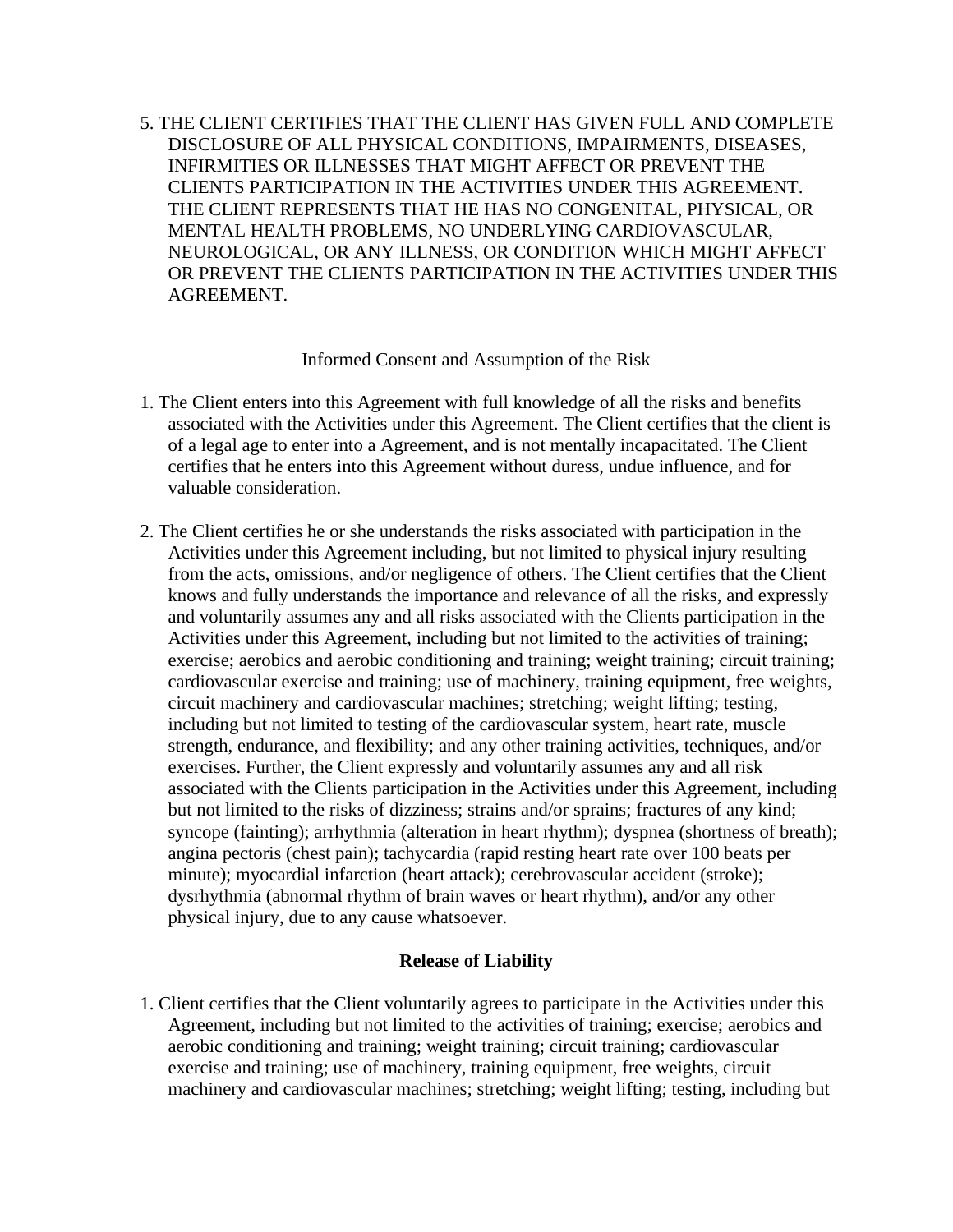5. THE CLIENT CERTIFIES THAT THE CLIENT HAS GIVEN FULL AND COMPLETE DISCLOSURE OF ALL PHYSICAL CONDITIONS, IMPAIRMENTS, DISEASES, INFIRMITIES OR ILLNESSES THAT MIGHT AFFECT OR PREVENT THE CLIENTS PARTICIPATION IN THE ACTIVITIES UNDER THIS AGREEMENT. THE CLIENT REPRESENTS THAT HE HAS NO CONGENITAL, PHYSICAL, OR MENTAL HEALTH PROBLEMS, NO UNDERLYING CARDIOVASCULAR, NEUROLOGICAL, OR ANY ILLNESS, OR CONDITION WHICH MIGHT AFFECT OR PREVENT THE CLIENTS PARTICIPATION IN THE ACTIVITIES UNDER THIS AGREEMENT.

#### Informed Consent and Assumption of the Risk

- 1. The Client enters into this Agreement with full knowledge of all the risks and benefits associated with the Activities under this Agreement. The Client certifies that the client is of a legal age to enter into a Agreement, and is not mentally incapacitated. The Client certifies that he enters into this Agreement without duress, undue influence, and for valuable consideration.
- 2. The Client certifies he or she understands the risks associated with participation in the Activities under this Agreement including, but not limited to physical injury resulting from the acts, omissions, and/or negligence of others. The Client certifies that the Client knows and fully understands the importance and relevance of all the risks, and expressly and voluntarily assumes any and all risks associated with the Clients participation in the Activities under this Agreement, including but not limited to the activities of training; exercise; aerobics and aerobic conditioning and training; weight training; circuit training; cardiovascular exercise and training; use of machinery, training equipment, free weights, circuit machinery and cardiovascular machines; stretching; weight lifting; testing, including but not limited to testing of the cardiovascular system, heart rate, muscle strength, endurance, and flexibility; and any other training activities, techniques, and/or exercises. Further, the Client expressly and voluntarily assumes any and all risk associated with the Clients participation in the Activities under this Agreement, including but not limited to the risks of dizziness; strains and/or sprains; fractures of any kind; syncope (fainting); arrhythmia (alteration in heart rhythm); dyspnea (shortness of breath); angina pectoris (chest pain); tachycardia (rapid resting heart rate over 100 beats per minute); myocardial infarction (heart attack); cerebrovascular accident (stroke); dysrhythmia (abnormal rhythm of brain waves or heart rhythm), and/or any other physical injury, due to any cause whatsoever.

#### **Release of Liability**

1. Client certifies that the Client voluntarily agrees to participate in the Activities under this Agreement, including but not limited to the activities of training; exercise; aerobics and aerobic conditioning and training; weight training; circuit training; cardiovascular exercise and training; use of machinery, training equipment, free weights, circuit machinery and cardiovascular machines; stretching; weight lifting; testing, including but